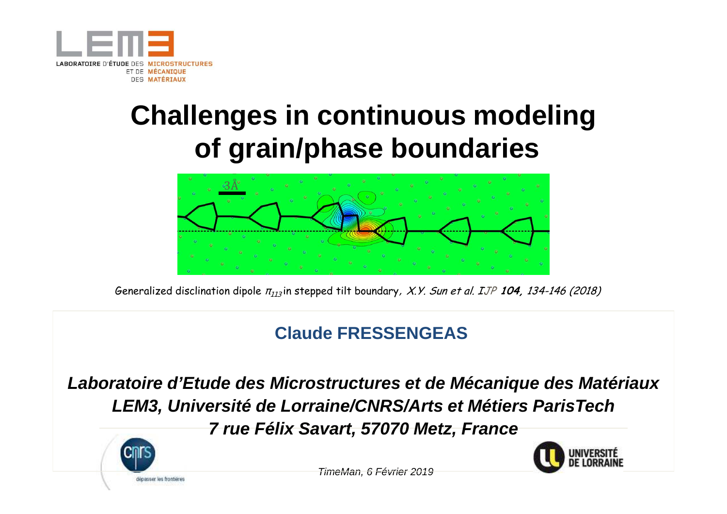

### **Challenges in continuous modelingof grain/phase boundaries**



Generalized disclination dipole <sup>π</sup><sup>113</sup> in stepped tilt boundary, X.Y. Sun et al. IJP **104,** 134-146 (2018)

#### \$**Claude FRESSENGEAS**

**Laboratoire d'Etude des Microstructures et de Mécanique des MatériauxLEM3, Université de Lorraine/CNRS/Arts et Métiers ParisTech7 rue Félix Savart, 57070 Metz, France**





TimeMan, 6 Février 2019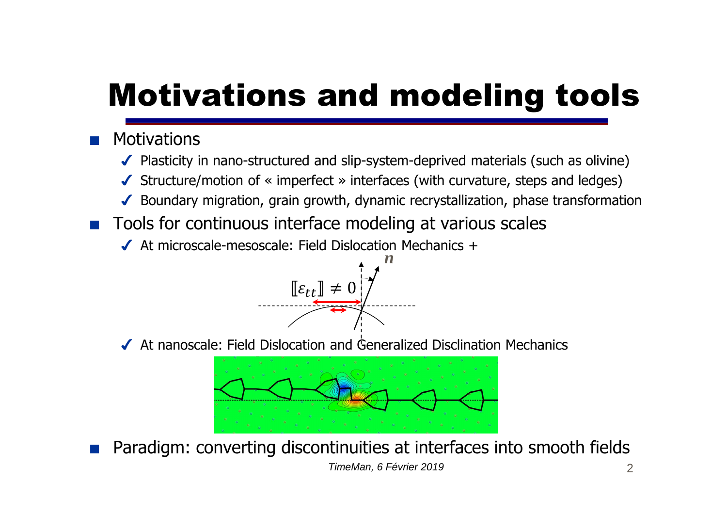# Motivations and modeling tools

#### ■ Motivations

- ◆ Plasticity in nano-structured and slip-system-deprived materials (such as olivine)
- ✔Structure/motion of « imperfect » interfaces (with curvature, steps and ledges)
- ✔ Boundary migration, grain growth, dynamic recrystallization, phase transformation<br>-
- Tools for continuous interface modeling at various scales<br>■ At microscale-mesoscale: Field Dislocation Mechanics +
	- ◆ At microscale-mesoscale: Field Dislocation Mechanics +



✔ At nanoscale: Field Dislocation and Generalized Disclination Mechanics



■ Paradigm: converting discontinuities at interfaces into smooth fields 2TimeMan, 6 Février 2019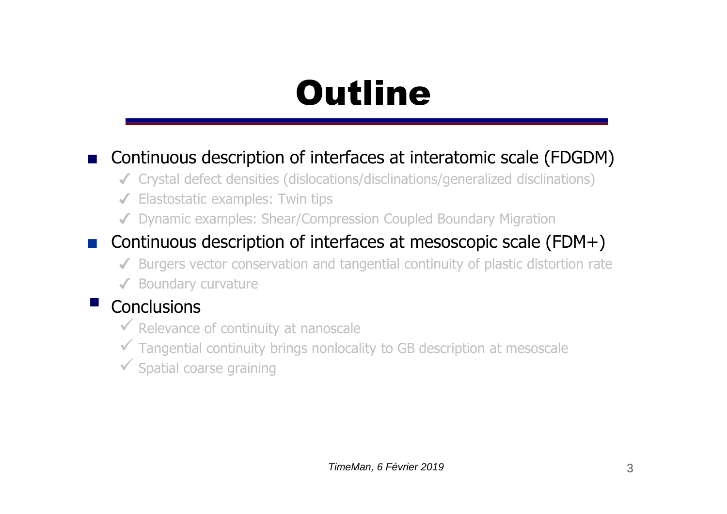## **Outline**

#### ■ Continuous description of interfaces at interatomic scale (FDGDM)

- ✔ Crystal defect densities (dislocations/disclinations/generalized disclinations)
- ◆ Elastostatic examples: Twin tips
- ◆ Dynamic examples: Shear/Compression Coupled Boundary Migration

#### ■ Continuous description of interfaces at mesoscopic scale (FDM+)

- ◆ Burgers vector conservation and tangential continuity of plastic distortion rate
- ◆ Boundary curvature

### $\blacksquare$  Conclusions

- Relevance of continuity at nanoscale
- <del>✓</del> Tangential continuity brings nonlocality to GB description at mesoscale
- Spatial coarse graining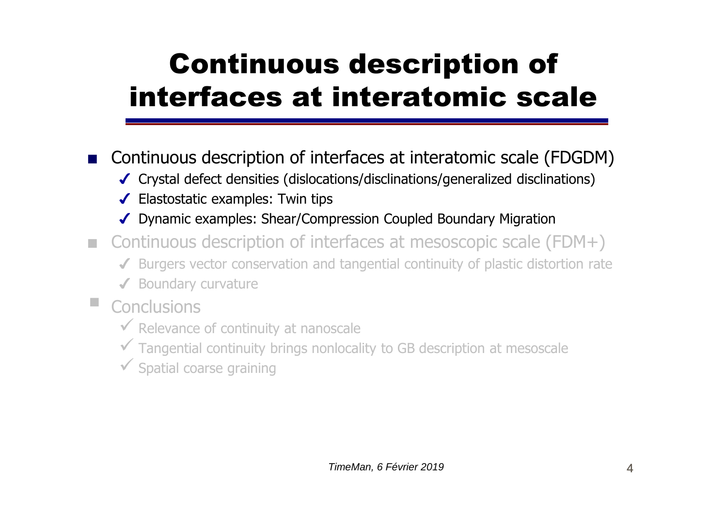## Continuous description of interfaces at interatomic scale

■ Continuous description of interfaces at interatomic scale (FDGDM)

- ✔ Crystal defect densities (dislocations/disclinations/generalized disclinations)
- ✔ Elastostatic examples: Twin tips
- ✔ Dynamic examples: Shear/Compression Coupled Boundary Migration
- Continuous description of interfaces at mesoscopic scale (FDM+)
	- ◆ Burgers vector conservation and tangential continuity of plastic distortion rate
	- ✔ Boundary curvature
- **The State Conclusions** 
	- Relevance of continuity at nanoscale
	- <del>✓</del> Tangential continuity brings nonlocality to GB description at mesoscale
	- Spatial coarse graining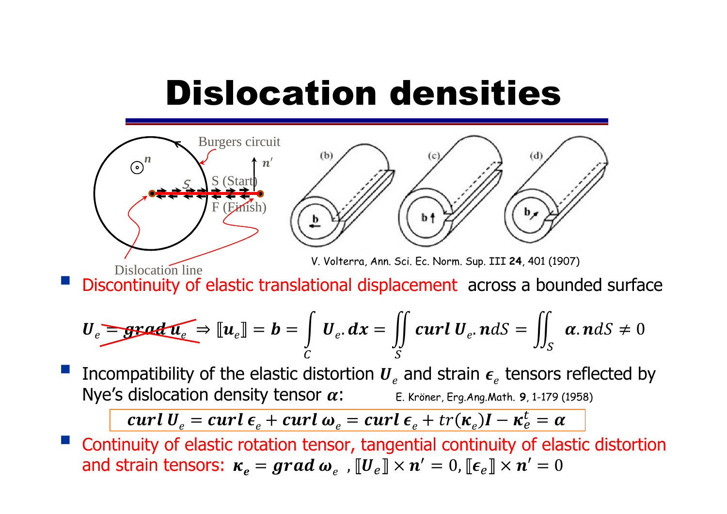## Dislocation densities



V. Volterra, Ann. Sci. Ec. Norm. Sup. III **24**, <sup>401</sup> (1907)

**STATE Discontinuity of elastic translational displacement** across a bounded surface Dislocation line

$$
U_e = \text{grad } u_e \Rightarrow [u_e] = b = \int_C U_e \, dx = \iint_S curl U_e \, ndS = \iint_S \alpha \, ndS \neq 0
$$

**STATE** Incompatibility of the elastic distortion  $U_e$  and strain  $\epsilon_e$  tensors reflected by  $\mathsf{Nye}\mathsf{'s}$  dislocation density tensor  $\alpha\colon\qquad \qquad \mathsf{E}$ . Kröner, Erg.Ang.Math. 9, 1-179 (1958)

 $\left\{ \boldsymbol{curl}\ \boldsymbol{U}_{e}=\boldsymbol{curl}\ \boldsymbol{\epsilon}_{e}+\boldsymbol{curl}\ \boldsymbol{\omega}_{e}=\boldsymbol{curl}\ \boldsymbol{\epsilon}_{e}+\boldsymbol{tr}(\boldsymbol{\kappa}_{e})\boldsymbol{I}-\boldsymbol{\kappa}_{e}^{t}=\boldsymbol{\alpha}\right\}$ 

Continuity of elastic rotation tensor, tangential continuity of elastic distortion **STATE** and strain tensors:  $\bm{\kappa_e} = \bm{grad\ }\bm{\omega}_e\,$  ,  $\llbracket \bm{U}_e \rrbracket \times \bm{n}' = 0$ ,  $\llbracket \bm{\epsilon}_e \rrbracket \times \bm{n}' = 0$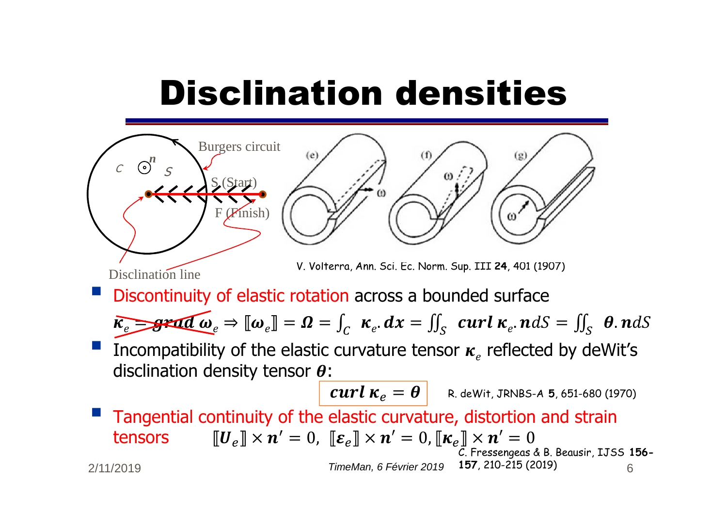# Disclination densities



2/11/2019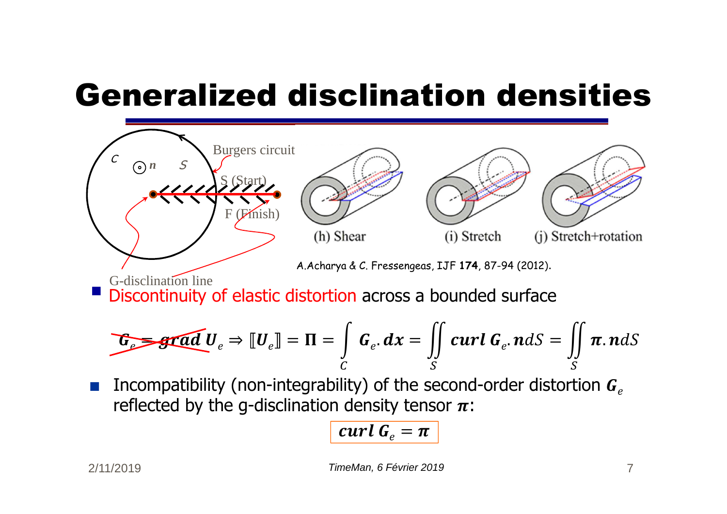# Generalized disclination densities



■Incompatibility (non-integrability) of the second-order distortion  $G_{\rho}$ reflected by the g-disclination density tensor  $\pi$ :

$$
curl G_e = \pi
$$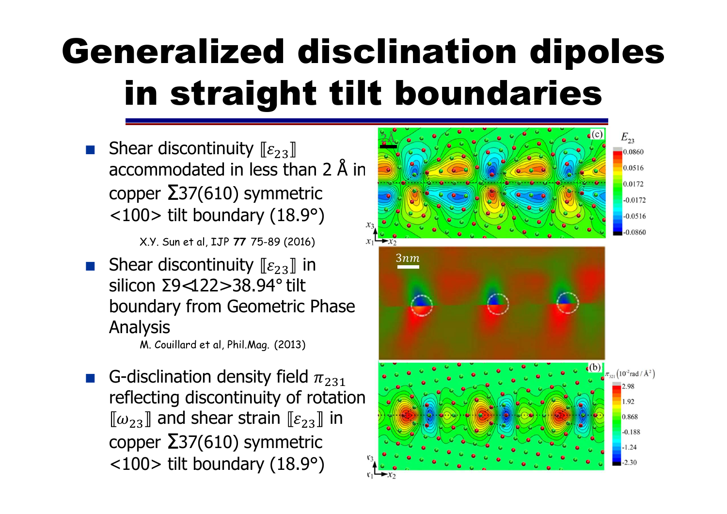## Generalized disclination dipoles in straight tilt boundaries

Shear discontinuity  $[\![\varepsilon_{23}]\!]$ accommodated in less than <sup>2</sup> Å in  $\mathsf{copper~}$   $\mathsf{237}(610)$  symmetric <100> tilt boundary (18.9°)

X.Y. Sun et al, IJP **<sup>77</sup>**75-89 (2016)

■ Shear discontinuity  $[\![\varepsilon_{23}]\!]$  in<br>silicon ∑9<122> 38 94° tilt silicon <sup>Σ</sup>9<122> 38.94° tilt boundary from Geometric Phase Analysis

M. Couillard et al. Phil.Mag. (2013)

■ G-disclination density field  $\pi_{231}$ <br>reflecting discontinuity of rotati reflecting discontinuity of rotation  $\omega_{23}$ ] and shear strain  $\llbracket \varepsilon_{23} \rrbracket$  in<br>oppor  $\mathbf{\Sigma}$ 37(610) symmetric  $\mathsf{copper~}$   $\mathsf{237}(610)$  symmetric <100> tilt boundary (18.9°)

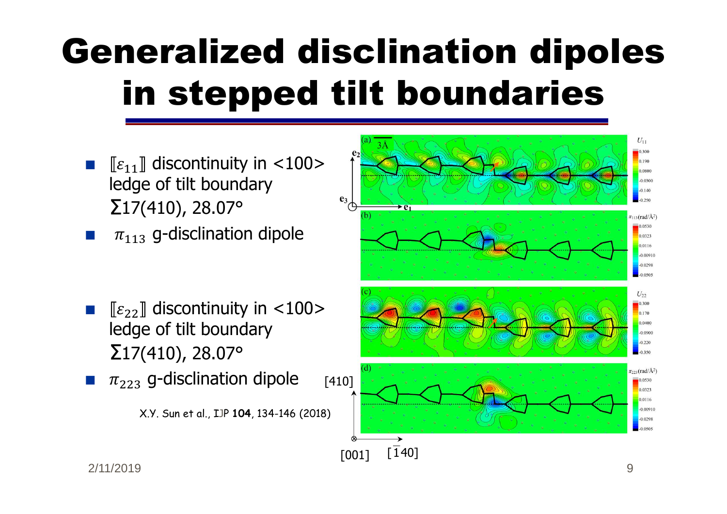# Generalized disclination dipoles in stepped tilt boundaries

- $\blacksquare$   $\lbrack \lbrack \varepsilon_{11} \rbrack$  discontinuity in <100> ledge of tilt boundary  $\Sigma$ 17(410), 28.07°
- $\blacksquare$   $\pi_{113}$  g-disclination dipole
- ■ $\blacksquare$   $\llbracket \varepsilon_{22} \rrbracket$  discontinuity in <100> ledge of tilt boundary  $\Sigma$ 17(410), 28.07°
- [410]■ $\blacksquare$   $\pi_{223}$  g-disclination dipole

X.Y. Sun et al., IJP **104**, 134-146 (2018)



2/11/2019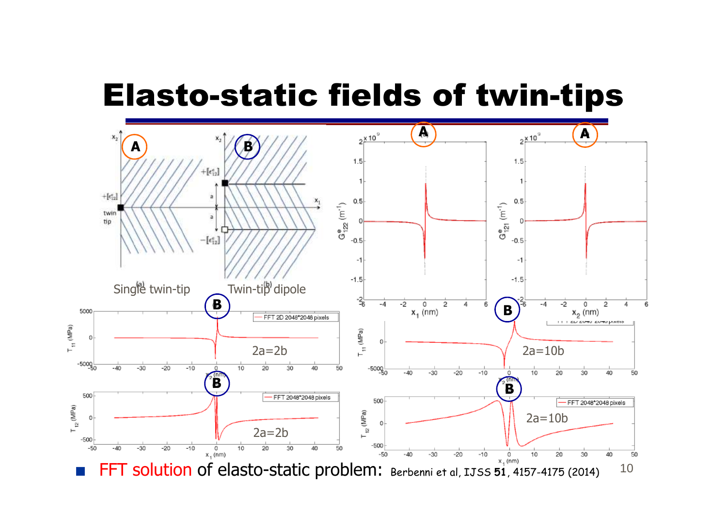## Elasto-static fields of twin-tips

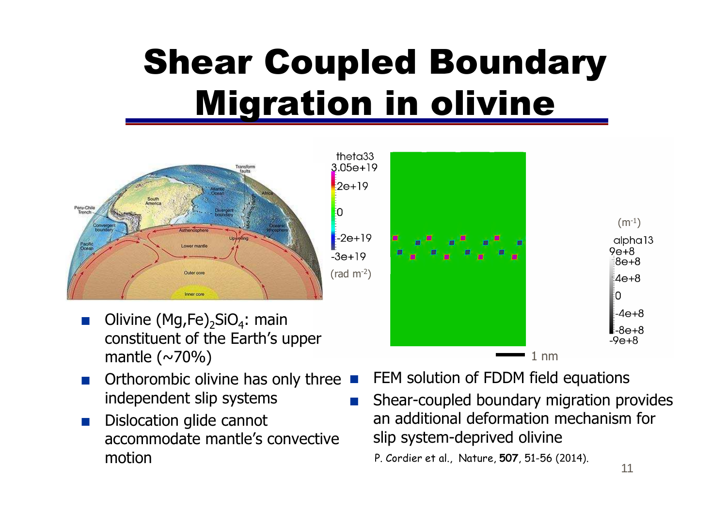## Shear Coupled Boundary Migration in olivine



- Olivine  $(Mg,Fe)_2SiO_4$ : main constituent of the Earth's upper mantle  $(\sim 70\%)$
- Orthorombic olivine has only three<br>■ indenendent slin systems independent slip systems
- ■ Dislocation glide cannot accommodate mantle's convective motion



- **FREM solution of FDDM field equations**
- Shear-coupled boundary migration provides an additional deformation mechanism for slip system-deprived olivine

P. Cordier et al., Nature, **507**, 51-56 (2014).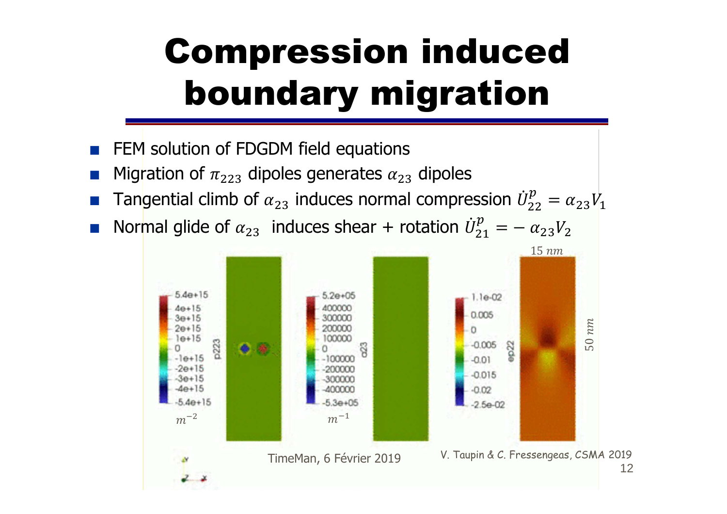## Compression inducedboundary migration

- FEM solution of FDGDM field equations<br>■ Microtion of stinoles senerates w
- ■**Migration of**  $\pi_{223}$  **dipoles generates**  $\alpha_{23}$  **dipoles**
- **■** Tangential climb of  $\alpha_{23}$  induces normal compression  $\dot{U}_{22}^p = \alpha_{23} V_1$
- ■Normal glide of  $\alpha_{23}$  induces shear + rotation  $\dot{U}_{21}^p = -\frac{\alpha_{23}V_2}{45\,nm}$

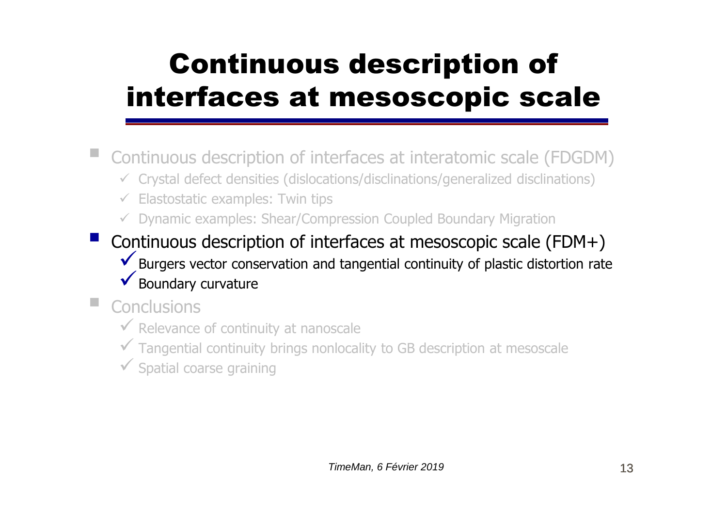## Continuous description of interfaces at mesoscopic scale

Continuous description of interfaces at interatomic scale (FDGDM)

- Crystal defect densities (dislocations/disclinations/generalized disclinations)
- ← Elastostatic examples: Twin tips
- Dynamic examples: Shear/Compression Coupled Boundary Migration
- **Service Service** Continuous description of interfaces at mesoscopic scale (FDM+)  $\checkmark$  Burgers vector conservation and tangential continuity of plastic distortion rate ◆ Boundary curvature the contract of the contract of the contract of the contract of the contract of the contract of the contract of the contract of the contract of the contract of the contract of the contract of the cont
- $\blacksquare$  Conclusions
	- Relevance of continuity at nanoscale
	- <del>✓</del> Tangential continuity brings nonlocality to GB description at mesoscale
	- Spatial coarse graining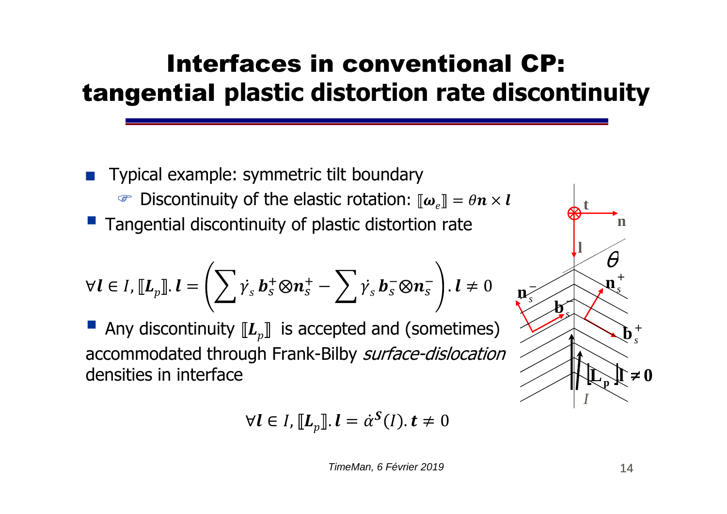#### Interfaces in conventional CP:tangential **plastic distortion rate discontinuity**

■ Typical example: symmetric tilt boundary **Example 1** Discontinuity of the elastic rotation:  $[\![\boldsymbol{\omega}_e]\!] = \theta \boldsymbol{n} \times \boldsymbol{l}$ **Tangential discontinuity of plastic distortion rate** 

$$
\forall l \in I, \llbracket L_p \rrbracket. l = \left( \sum_i \dot{v}_s \, \boldsymbol{b}_s^+ \otimes \boldsymbol{n}_s^+ - \sum_i \dot{v}_s \, \boldsymbol{b}_s^- \otimes \boldsymbol{n}_s^- \right). l \neq 0
$$

Any discontinuity  $\llbracket L_p \rrbracket$  is accepted and (sometimes) accommodated through Frank-Bilby *surface-dislocation* densities in interface

$$
\forall l \in I, [\![L_p]\!], l = \dot{\alpha}^S(l), t \neq 0
$$

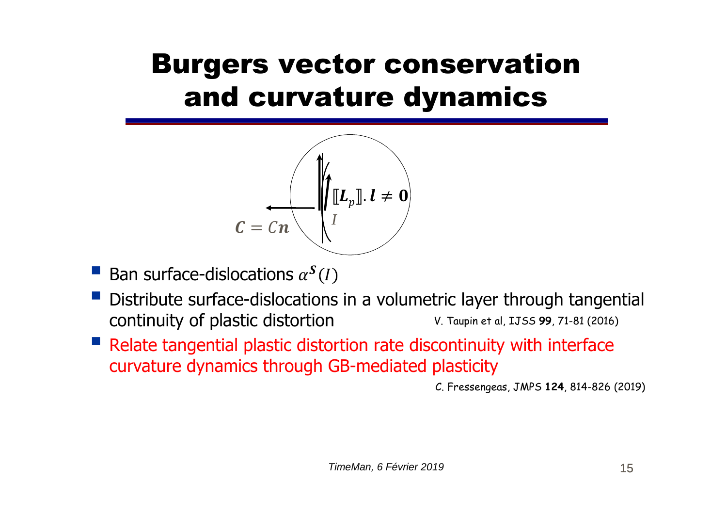### Burgers vector conservation and curvature dynamics



- Ban surface-dislocations  $\alpha^S(I)$
- $\mathbb{R}^n$  Distribute surface-dislocations in a volumetric layer through tangential continuity of plastic distortion V. Taupin et al, IJSS **99**, 71-81 (2016)
- Relate tangential plastic distortion rate discontinuity with interface curvature dynamics through GB-mediated plasticity curvature dynamics through GB-mediated plasticity

C. Fressengeas, JMPS **124**, 814-826 (2019)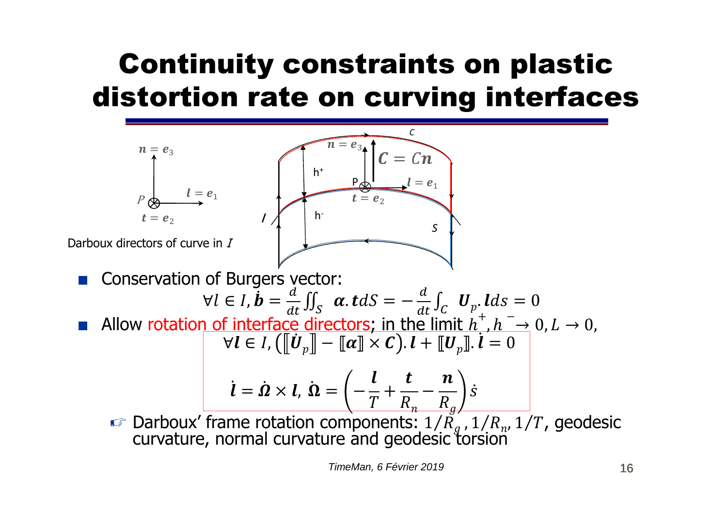## Continuity constraints on plastic distortion rate on curving interfaces



TimeMan, 6 Février 2019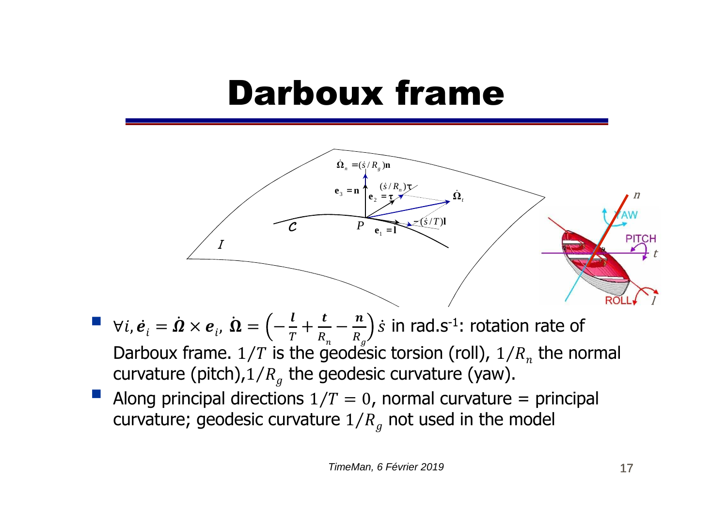### Darboux frame



- $\forall i, \dot{e}_i = \dot{\Omega} \times e_i$ ,  $\dot{\Omega} = \left(-\frac{l}{T} + \frac{t}{R_n} \frac{n}{R_g}\right)\dot{s}$  in rad.s<sup>-1</sup>: rotation rate of<br>Darboux frame. 1/*T* is the geodesic torsion (roll), 1/*R*<sub>n</sub> the normal<br>curvature (pitch) 1/*R* the geodesic curvature (ya Darboux frame.  $1/T$  is the geodesic torsion (roll),  $1/R_n$  the normal curvature (pitch), $1/R<sub>q</sub>$  the geodesic curvature (yaw).
- Along principal directions  $1/T = 0$ , normal curvature = principal curvature; geodesic curvature  $1/R_a$  not used in the model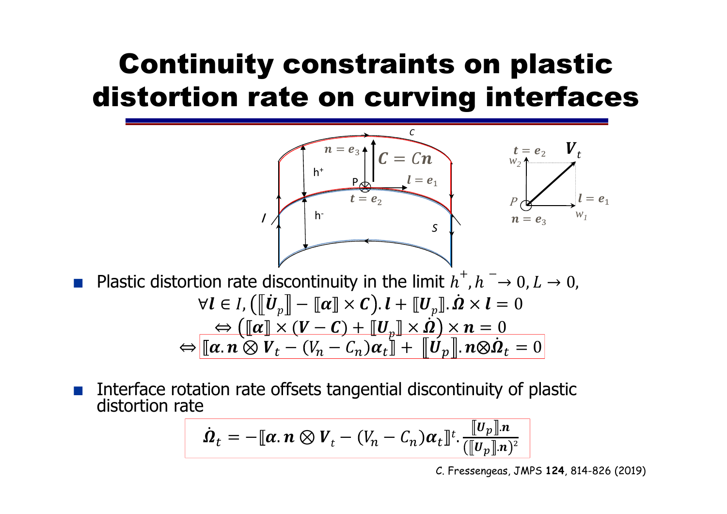## Continuity constraints on plastic distortion rate on curving interfaces



Interface rotation rate offsets tangential discontinuity of plastic distortion rate

$$
\dot{\Omega}_t = -[\![\boldsymbol{\alpha}.\,\boldsymbol{n} \otimes V_t - (V_n - C_n)\boldsymbol{\alpha}_t]\!]^t \cdot \frac{[\![\boldsymbol{U}_p]\!] \cdot \boldsymbol{n}}{([\![\boldsymbol{U}_p]\!] \cdot \boldsymbol{n})^2}
$$

18 Matériaux 2018, Strasbourg C. Fressengeas, JMPS **124**, 814-826 (2019)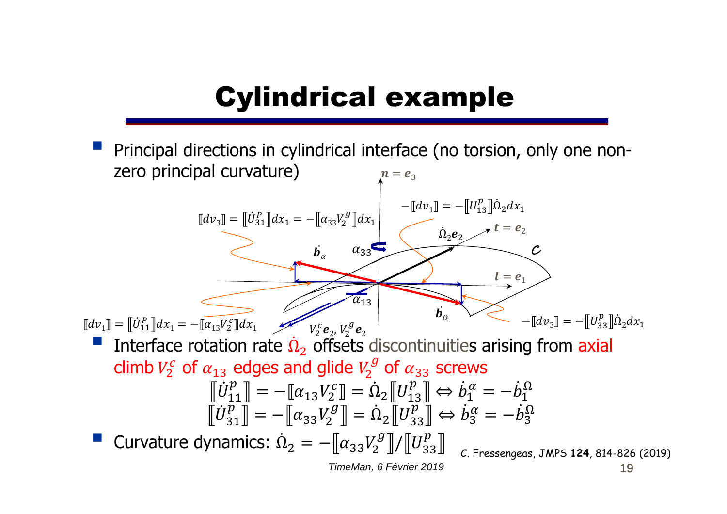### Cylindrical example

19 Principal directions in cylindrical interface (no torsion, only one nonzero principal curvature) Interface rotation rate  $\dot{\Omega}_2$  offsets discontinuities arising from axial climb  $V_2^c$  of  $\alpha_{13}$  edges and glide  $V_2^g$  of  $\alpha_{33}$  screws  $\dot{U}$  $\dot U^p_\gamma$  77 $\begin{bmatrix} p \\ p_1 \\ p_2 \end{bmatrix} = -\left[\!\left[ \alpha_{13} V_2^c \right]\!\right] = \dot{\Omega}_2 \left[\!\left[ U_{13}^p \right]\!\right] \Leftrightarrow \dot{b}_1^{\alpha} = -\dot{b}_1^{\Omega}$ Curvature dynamics:  $\dot{\Omega}_2 = -[\![\alpha_{33}V_2^g]\!] / [\![U_{33}^p]\!]$ 31  $\begin{bmatrix} p \\ 31 \end{bmatrix} = -\begin{bmatrix} \alpha_{33} V_2^g \end{bmatrix} = \dot{\Omega}_2 \begin{bmatrix} U_{33}^p \end{bmatrix} \Leftrightarrow \dot{b}_3^{\alpha} = -\dot{b}_3^{\Omega}$  $\dot{\Omega}$  $\bm{e}_2\bm{e}_2$  $-\llbracket dv_3 \rrbracket = -\llbracket U_{23}^p \rrbracket \dot{\Omega}_2 dx_1$  $[[dv_3]] = [[b_{31}^P]]dx_1 = -[[\alpha_{33}V_2^g]]dx_1$ <br>  $\alpha_{33}$ <br>  $\alpha_{34}$ <br>  $\alpha_{11}$  =  $[[b_{11}^P]]dx_1 = -[[a_{13}V_2^G]]dx_1$ <br>  $\alpha_{12}$ <br>  $\alpha_{13}$ <br>  $\alpha_{14}$  =  $[-u_{11}^P]]dx_1 = -[[a_{13}^P][a_2dx_1]$ <br>  $\alpha_{12}$ <br>  $\alpha_{13}$ <br>  $\alpha_{14}$  =  $[-u_{12}^P][a_2dx_1]$ <br>  $[[dv_1]] = [[\dot{U}_{11}^P]]dx_1 = -[[\overline{\alpha_{13}}V_2^c]]dx_1$  $[[dv_3]] = [[b_{31}^p]]dx_1 = -[[a_{33}v_2^g]]dx_1$ <br>  $b_{\alpha}$   $a_{33}$ <br>  $\alpha_{34}$ <br>  $\alpha_{35}$ <br>  $\alpha_{36}$ <br>  $\alpha_{37}$ <br>  $\alpha_{38}$ <br>  $\alpha_{39}$ <br>  $\alpha_{30}$ <br>  $\alpha_{31}$ <br>  $\alpha_{32}$ <br>  $\alpha_{33}$ <br>  $\alpha_{34}$ <br>  $\alpha_{35}$ <br>  $\alpha_{36}$ <br>  $\alpha_{37}$ <br>  $\alpha_{38}$ <br>  $\alpha_{39}$ <br>  $\alpha_{3$  $n = e_3$  $\overline{\alpha}_{13}$  $\alpha_{33}$ TimeMan, 6 Février 2019C. Fressengeas, JMPS **124**, 814-826 (2019)